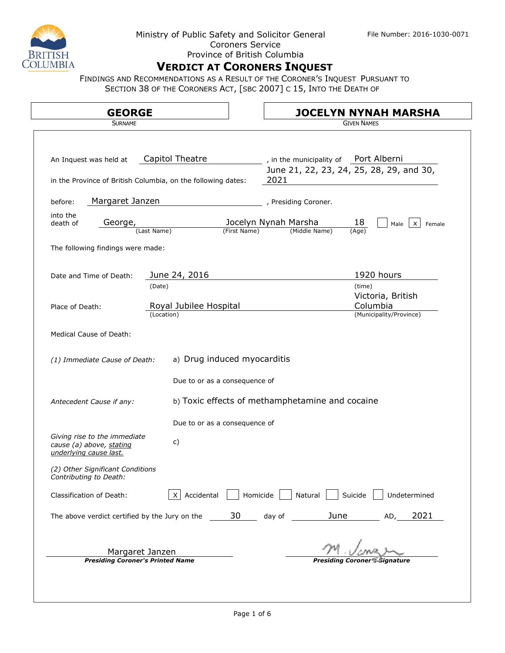

#### Ministry of Public Safety and Solicitor General File Number: 2016-1030-0071 Coroners Service Province of British Columbia

# **VERDICT AT CORONERS INQUEST**

FINDINGS AND RECOMMENDATIONS AS A RESULT OF THE CORONER'S INQUEST PURSUANT TO SECTION 38 OF THE CORONERS ACT, [SBC 2007] C 15, INTO THE DEATH OF

| <b>GEORGE</b>                                                                          |                                      | <b>JOCELYN NYNAH MARSHA</b>                                                               |
|----------------------------------------------------------------------------------------|--------------------------------------|-------------------------------------------------------------------------------------------|
| <b>SURNAME</b>                                                                         |                                      | <b>GIVEN NAMES</b>                                                                        |
| An Inquest was held at<br>in the Province of British Columbia, on the following dates: | Capitol Theatre                      | , in the municipality of Port Alberni<br>June 21, 22, 23, 24, 25, 28, 29, and 30,<br>2021 |
| Margaret Janzen<br>before:                                                             |                                      | , Presiding Coroner.                                                                      |
| into the<br>death of<br>George,<br>(Last Name)                                         | (First Name)                         | Jocelyn Nynah Marsha<br>18<br>$\mathsf{x}$<br>Male<br>Female<br>(Middle Name)<br>(Age)    |
| The following findings were made:                                                      |                                      |                                                                                           |
| Date and Time of Death:                                                                | June 24, 2016<br>(Date)              | 1920 hours<br>(time)                                                                      |
| Place of Death:                                                                        | Royal Jubilee Hospital<br>(Location) | Victoria, British<br>Columbia<br>(Municipality/Province)                                  |
| <b>Medical Cause of Death:</b>                                                         |                                      |                                                                                           |
| (1) Immediate Cause of Death:                                                          | a) Drug induced myocarditis          |                                                                                           |
|                                                                                        | Due to or as a consequence of        |                                                                                           |
| Antecedent Cause if any:                                                               |                                      | b) Toxic effects of methamphetamine and cocaine                                           |
|                                                                                        | Due to or as a consequence of        |                                                                                           |
| Giving rise to the immediate<br>cause (a) above, stating<br>underlying cause last.     | c)                                   |                                                                                           |
| (2) Other Significant Conditions<br>Contributing to Death:                             |                                      |                                                                                           |
| Classification of Death:                                                               | X Accidental                         | Homicide<br>Natural<br>Suicide<br>Undetermined                                            |
| The above verdict certified by the Jury on the                                         | 30                                   | <b>June</b><br>2021<br>day of<br>AD,                                                      |
|                                                                                        |                                      |                                                                                           |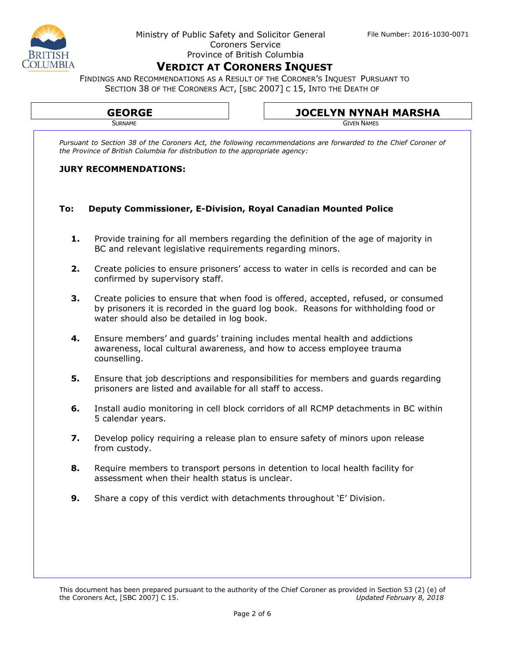FINDINGS AND RECOMMENDATIONS AS A RESULT OF THE CORONER'S INQUEST PURSUANT TO SECTION 38 OF THE CORONERS ACT, [SBC 2007] C 15, INTO THE DEATH OF

|     | Pursuant to Section 38 of the Coroners Act, the following recommendations are forwarded to the Chief Coroner of                                                                                                         |  |
|-----|-------------------------------------------------------------------------------------------------------------------------------------------------------------------------------------------------------------------------|--|
|     | the Province of British Columbia for distribution to the appropriate agency:                                                                                                                                            |  |
|     | <b>JURY RECOMMENDATIONS:</b>                                                                                                                                                                                            |  |
| To: | <b>Deputy Commissioner, E-Division, Royal Canadian Mounted Police</b>                                                                                                                                                   |  |
| 1.  | Provide training for all members regarding the definition of the age of majority in<br>BC and relevant legislative requirements regarding minors.                                                                       |  |
| 2.  | Create policies to ensure prisoners' access to water in cells is recorded and can be<br>confirmed by supervisory staff.                                                                                                 |  |
| 3.  | Create policies to ensure that when food is offered, accepted, refused, or consumed<br>by prisoners it is recorded in the guard log book. Reasons for withholding food or<br>water should also be detailed in log book. |  |
| 4.  | Ensure members' and guards' training includes mental health and addictions<br>awareness, local cultural awareness, and how to access employee trauma<br>counselling.                                                    |  |
| 5.  | Ensure that job descriptions and responsibilities for members and guards regarding<br>prisoners are listed and available for all staff to access.                                                                       |  |
| 6.  | Install audio monitoring in cell block corridors of all RCMP detachments in BC within<br>5 calendar years.                                                                                                              |  |
| 7.  | Develop policy requiring a release plan to ensure safety of minors upon release<br>from custody.                                                                                                                        |  |
| 8.  | Require members to transport persons in detention to local health facility for<br>assessment when their health status is unclear.                                                                                       |  |
| 9.  | Share a copy of this verdict with detachments throughout 'E' Division.                                                                                                                                                  |  |
|     |                                                                                                                                                                                                                         |  |
|     |                                                                                                                                                                                                                         |  |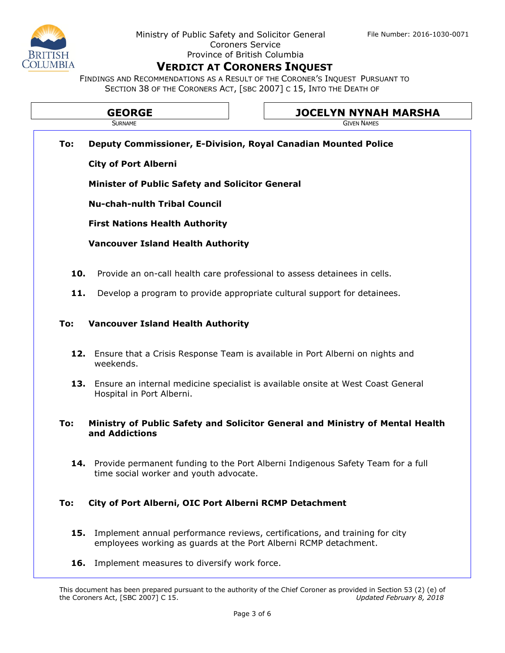FINDINGS AND RECOMMENDATIONS AS A RESULT OF THE CORONER'S INQUEST PURSUANT TO SECTION 38 OF THE CORONERS ACT, [SBC 2007] C 15, INTO THE DEATH OF

| <b>GEORGE</b> | <b>JOCELYN NYNAH MARSHA</b> |
|---------------|-----------------------------|
| <b>URNAME</b> | <b>GIVEN NAMES</b>          |

**To: Deputy Commissioner, E-Division, Royal Canadian Mounted Police**

**City of Port Alberni** 

**Minister of Public Safety and Solicitor General**

**Nu-chah-nulth Tribal Council**

**First Nations Health Authority**

**Vancouver Island Health Authority**

- **10.** Provide an on-call health care professional to assess detainees in cells.
- **11.** Develop a program to provide appropriate cultural support for detainees.

#### **To: Vancouver Island Health Authority**

- **12.** Ensure that a Crisis Response Team is available in Port Alberni on nights and weekends.
- **13.** Ensure an internal medicine specialist is available onsite at West Coast General Hospital in Port Alberni.

#### **To: Ministry of Public Safety and Solicitor General and Ministry of Mental Health and Addictions**

**14.** Provide permanent funding to the Port Alberni Indigenous Safety Team for a full time social worker and youth advocate.

### **To: City of Port Alberni, OIC Port Alberni RCMP Detachment**

- **15.** Implement annual performance reviews, certifications, and training for city employees working as guards at the Port Alberni RCMP detachment.
- 16. Implement measures to diversify work force.

This document has been prepared pursuant to the authority of the Chief Coroner as provided in Section 53 (2) (e) of the Coroners Act, [SBC 2007] C 15. the Coroners Act, [SBC 2007] C 15.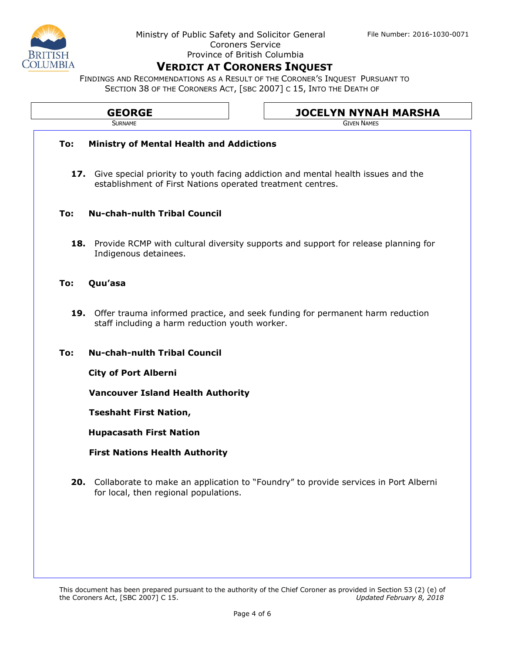FINDINGS AND RECOMMENDATIONS AS A RESULT OF THE CORONER'S INQUEST PURSUANT TO SECTION 38 OF THE CORONERS ACT, [SBC 2007] C 15, INTO THE DEATH OF

|                                            | <b>GEORGE</b><br><b>SURNAME</b>                            | <b>JOCELYN NYNAH MARSHA</b><br><b>GIVEN NAMES</b>                                             |
|--------------------------------------------|------------------------------------------------------------|-----------------------------------------------------------------------------------------------|
| To:                                        | <b>Ministry of Mental Health and Addictions</b>            |                                                                                               |
|                                            | establishment of First Nations operated treatment centres. | 17. Give special priority to youth facing addiction and mental health issues and the          |
| To:                                        | <b>Nu-chah-nulth Tribal Council</b>                        |                                                                                               |
|                                            | Indigenous detainees.                                      | <b>18.</b> Provide RCMP with cultural diversity supports and support for release planning for |
| To:                                        | Quu'asa                                                    |                                                                                               |
|                                            | staff including a harm reduction youth worker.             | 19. Offer trauma informed practice, and seek funding for permanent harm reduction             |
| <b>Nu-chah-nulth Tribal Council</b><br>To: |                                                            |                                                                                               |
|                                            | <b>City of Port Alberni</b>                                |                                                                                               |
|                                            | <b>Vancouver Island Health Authority</b>                   |                                                                                               |
|                                            | <b>Tseshaht First Nation,</b>                              |                                                                                               |
|                                            | <b>Hupacasath First Nation</b>                             |                                                                                               |
|                                            | <b>First Nations Health Authority</b>                      |                                                                                               |
|                                            | for local, then regional populations.                      | 20. Collaborate to make an application to "Foundry" to provide services in Port Alberni       |
|                                            |                                                            |                                                                                               |
|                                            |                                                            |                                                                                               |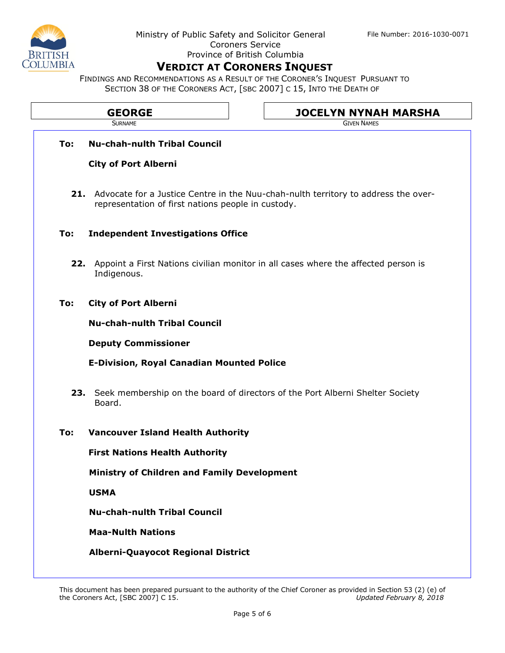FINDINGS AND RECOMMENDATIONS AS A RESULT OF THE CORONER'S INQUEST PURSUANT TO SECTION 38 OF THE CORONERS ACT, [SBC 2007] C 15, INTO THE DEATH OF

| <b>GEORGE</b> | <b>JOCELYN NYNAH MARSHA</b> |
|---------------|-----------------------------|
| SURNAME       | <b>GIVEN NAMES</b>          |
|               |                             |

### **To: Nu-chah-nulth Tribal Council**

### **City of Port Alberni**

**21.** Advocate for a Justice Centre in the Nuu-chah-nulth territory to address the overrepresentation of first nations people in custody.

### **To: Independent Investigations Office**

**22.** Appoint a First Nations civilian monitor in all cases where the affected person is Indigenous.

### **To: City of Port Alberni**

**Nu-chah-nulth Tribal Council**

**Deputy Commissioner**

**E-Division, Royal Canadian Mounted Police**

**23.** Seek membership on the board of directors of the Port Alberni Shelter Society Board.

### **To: Vancouver Island Health Authority**

**First Nations Health Authority**

**Ministry of Children and Family Development** 

**USMA** 

**Nu-chah-nulth Tribal Council**

**Maa-Nulth Nations**

### **Alberni-Quayocot Regional District**